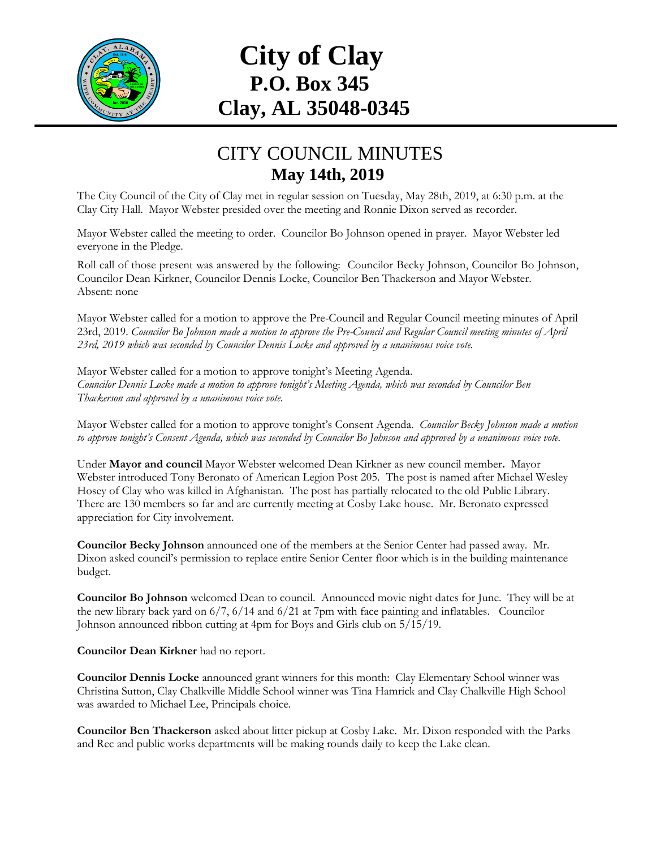

## **City of Clay P.O. Box 345 Clay, AL 35048-0345**

## CITY COUNCIL MINUTES **May 14th, 2019**

The City Council of the City of Clay met in regular session on Tuesday, May 28th, 2019, at 6:30 p.m. at the Clay City Hall. Mayor Webster presided over the meeting and Ronnie Dixon served as recorder.

Mayor Webster called the meeting to order. Councilor Bo Johnson opened in prayer. Mayor Webster led everyone in the Pledge.

Roll call of those present was answered by the following: Councilor Becky Johnson, Councilor Bo Johnson, Councilor Dean Kirkner, Councilor Dennis Locke, Councilor Ben Thackerson and Mayor Webster. Absent: none

Mayor Webster called for a motion to approve the Pre-Council and Regular Council meeting minutes of April 23rd, 2019. *Councilor Bo Johnson made a motion to approve the Pre-Council and Regular Council meeting minutes of April 23rd, 2019 which was seconded by Councilor Dennis Locke and approved by a unanimous voice vote.*

Mayor Webster called for a motion to approve tonight's Meeting Agenda. *Councilor Dennis Locke made a motion to approve tonight's Meeting Agenda, which was seconded by Councilor Ben Thackerson and approved by a unanimous voice vote.*

Mayor Webster called for a motion to approve tonight's Consent Agenda. *Councilor Becky Johnson made a motion to approve tonight's Consent Agenda, which was seconded by Councilor Bo Johnson and approved by a unanimous voice vote.*

Under **Mayor and council** Mayor Webster welcomed Dean Kirkner as new council member**.** Mayor Webster introduced Tony Beronato of American Legion Post 205. The post is named after Michael Wesley Hosey of Clay who was killed in Afghanistan. The post has partially relocated to the old Public Library. There are 130 members so far and are currently meeting at Cosby Lake house. Mr. Beronato expressed appreciation for City involvement.

**Councilor Becky Johnson** announced one of the members at the Senior Center had passed away. Mr. Dixon asked council's permission to replace entire Senior Center floor which is in the building maintenance budget.

**Councilor Bo Johnson** welcomed Dean to council. Announced movie night dates for June. They will be at the new library back yard on 6/7, 6/14 and 6/21 at 7pm with face painting and inflatables. Councilor Johnson announced ribbon cutting at 4pm for Boys and Girls club on 5/15/19.

**Councilor Dean Kirkner** had no report.

**Councilor Dennis Locke** announced grant winners for this month: Clay Elementary School winner was Christina Sutton, Clay Chalkville Middle School winner was Tina Hamrick and Clay Chalkville High School was awarded to Michael Lee, Principals choice.

**Councilor Ben Thackerson** asked about litter pickup at Cosby Lake. Mr. Dixon responded with the Parks and Rec and public works departments will be making rounds daily to keep the Lake clean.